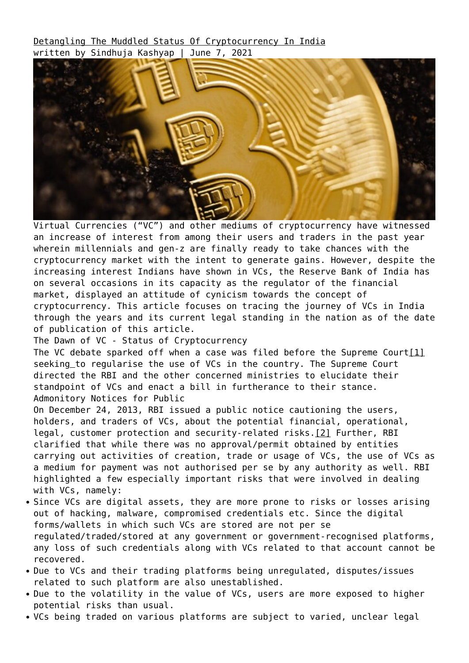[Detangling The Muddled Status Of Cryptocurrency In India](https://ksandk.com/corporate-commercial/status-of-cryptocurrency-in-india/) written by Sindhuja Kashyap | June 7, 2021



Virtual Currencies ("VC") and other mediums of cryptocurrency have witnessed an increase of interest from among their users and traders in the past year wherein millennials and gen-z are finally ready to take chances with the cryptocurrency market with the intent to generate gains. However, despite the increasing interest Indians have shown in VCs, the Reserve Bank of India has on several occasions in its capacity as the regulator of the financial market, displayed an attitude of cynicism towards the concept of cryptocurrency. This article focuses on tracing the journey of VCs in India through the years and its current legal standing in the nation as of the date of publication of this article.

The Dawn of VC - Status of Cryptocurrency

The VC debate sparked off when a case was filed before the Supreme Cour[t\[1\]](#page--1-0) seeking to regularise the use of VCs in the country. The Supreme Court directed the RBI and the other concerned ministries to elucidate their standpoint of VCs and enact a bill in furtherance to their stance. Admonitory Notices for Public

On December 24, 2013, RBI issued a public notice cautioning the users, holders, and traders of VCs, about the potential financial, operational, legal, customer protection and security-related risks[.\[2\]](#page--1-0) Further, RBI clarified that while there was no approval/permit obtained by entities carrying out activities of creation, trade or usage of VCs, the use of VCs as a medium for payment was not authorised per se by any authority as well. RBI highlighted a few especially important risks that were involved in dealing with VCs, namely:

- Since VCs are digital assets, they are more prone to risks or losses arising out of hacking, malware, compromised credentials etc. Since the digital forms/wallets in which such VCs are stored are not per se regulated/traded/stored at any government or government-recognised platforms, any loss of such credentials along with VCs related to that account cannot be recovered.
- Due to VCs and their trading platforms being unregulated, disputes/issues related to such platform are also unestablished.
- Due to the volatility in the value of VCs, users are more exposed to higher potential risks than usual.
- VCs being traded on various platforms are subject to varied, unclear legal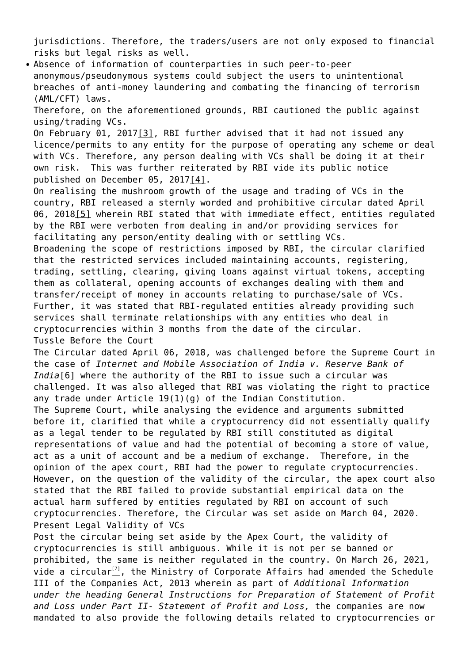jurisdictions. Therefore, the traders/users are not only exposed to financial risks but legal risks as well.

Absence of information of counterparties in such peer-to-peer anonymous/pseudonymous systems could subject the users to unintentional breaches of anti-money laundering and combating the financing of terrorism (AML/CFT) laws.

Therefore, on the aforementioned grounds, RBI cautioned the public against using/trading VCs.

On February 01, 2017[\[3\],](#page--1-0) RBI further advised that it had not issued any licence/permits to any entity for the purpose of operating any scheme or deal with VCs. Therefore, any person dealing with VCs shall be doing it at their own risk. This was further reiterated by RBI vide its public notice published on December 05, 201[7\[4\]](#page--1-0).

On realising the mushroom growth of the usage and trading of VCs in the country, RBI released a sternly worded and prohibitive circular dated April 06, 201[8\[5\]](#page--1-0) wherein RBI stated that with immediate effect, entities regulated by the RBI were verboten from dealing in and/or providing services for facilitating any person/entity dealing with or settling VCs.

Broadening the scope of restrictions imposed by RBI, the circular clarified that the restricted services included maintaining accounts, registering, trading, settling, clearing, giving loans against virtual tokens, accepting them as collateral, opening accounts of exchanges dealing with them and transfer/receipt of money in accounts relating to purchase/sale of VCs. Further, it was stated that RBI-regulated entities already providing such services shall terminate relationships with any entities who deal in cryptocurrencies within 3 months from the date of the circular. Tussle Before the Court

The Circular dated April 06, 2018, was challenged before the Supreme Court in the case of *Internet and Mobile Association of India v. Reserve Bank of India*[\[6\]](#page--1-0) where the authority of the RBI to issue such a circular was challenged. It was also alleged that RBI was violating the right to practice any trade under Article 19(1)(g) of the Indian Constitution. The Supreme Court, while analysing the evidence and arguments submitted before it, clarified that while a cryptocurrency did not essentially qualify as a legal tender to be regulated by RBI still constituted as digital representations of value and had the potential of becoming a store of value, act as a unit of account and be a medium of exchange. Therefore, in the opinion of the apex court, RBI had the power to regulate cryptocurrencies. However, on the question of the validity of the circular, the apex court also stated that the RBI failed to provide substantial empirical data on the actual harm suffered by entities regulated by RBI on account of such cryptocurrencies. Therefore, the Circular was set aside on March 04, 2020.

Post the circular being set aside by the Apex Court, the validity of cryptocurrencies is still ambiguous. While it is not per se banned or prohibited, the same is neither regulated in the country. On March 26, 2021, vide a circular $\frac{[7]}{2}$  $\frac{[7]}{2}$  $\frac{[7]}{2}$ , the Ministry of Corporate Affairs had amended the Schedule III of the Companies Act, 2013 wherein as part of *Additional Information under the heading General Instructions for Preparation of Statement of Profit and Loss under Part II- Statement of Profit and Loss,* the companies are now mandated to also provide the following details related to cryptocurrencies or

Present Legal Validity of VCs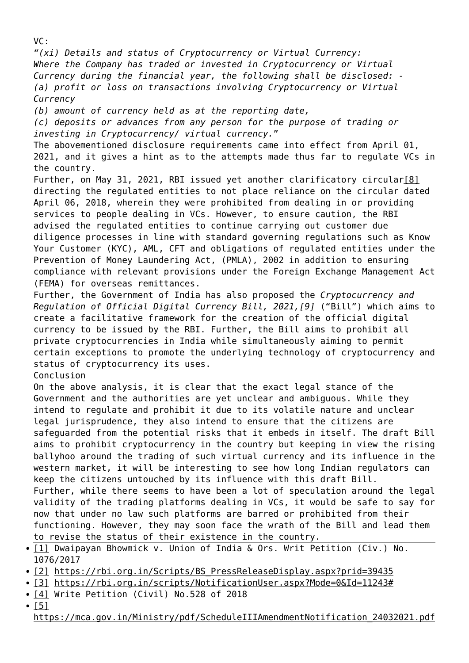*"(xi) Details and status of Cryptocurrency or Virtual Currency: Where the Company has traded or invested in Cryptocurrency or Virtual Currency during the financial year, the following shall be disclosed: - (a) profit or loss on transactions involving Cryptocurrency or Virtual Currency (b) amount of currency held as at the reporting date, (c) deposits or advances from any person for the purpose of trading or investing in Cryptocurrency/ virtual currency.*" The abovementioned disclosure requirements came into effect from April 01, 2021, and it gives a hint as to the attempts made thus far to regulate VCs in the country. Further, on May 31, 2021, RBI issued yet another clarificatory circular[\[8\]](#page--1-0) directing the regulated entities to not place reliance on the circular dated April 06, 2018, wherein they were prohibited from dealing in or providing services to people dealing in VCs. However, to ensure caution, the RBI advised the regulated entities to continue carrying out customer due diligence processes in line with standard governing regulations such as Know Your Customer (KYC), AML, CFT and obligations of regulated entities under the Prevention of Money Laundering Act, (PMLA), 2002 in addition to ensuring compliance with relevant provisions under the Foreign Exchange Management Act (FEMA) for overseas remittances. Further, the Government of India has also proposed the *Cryptocurrency and Regulation of Official Digital Currency Bill, 2021[,\[9\]](#page--1-0)* ("Bill") which aims to create a facilitative framework for the creation of the official digital currency to be issued by the RBI. Further, the Bill aims to prohibit all private cryptocurrencies in India while simultaneously aiming to permit certain exceptions to promote the underlying technology of cryptocurrency and status of cryptocurrency its uses. Conclusion On the above analysis, it is clear that the exact legal stance of the Government and the authorities are yet unclear and ambiguous. While they intend to regulate and prohibit it due to its volatile nature and unclear legal jurisprudence, they also intend to ensure that the citizens are safeguarded from the potential risks that it embeds in itself. The draft Bill aims to prohibit cryptocurrency in the country but keeping in view the rising ballyhoo around the trading of such virtual currency and its influence in the western market, it will be interesting to see how long Indian regulators can keep the citizens untouched by its influence with this draft Bill. Further, while there seems to have been a lot of speculation around the legal validity of the trading platforms dealing in VCs, it would be safe to say for now that under no law such platforms are barred or prohibited from their functioning. However, they may soon face the wrath of the Bill and lead them to revise the status of their existence in the country. • [\[1\]](#page--1-0) Dwaipayan Bhowmick v. Union of India & Ors. Writ Petition (Civ.) No. 1076/2017

- [\[2\]](#page--1-0) https://rbi.org.in/Scripts/BS PressReleaseDisplay.aspx?prid=39435
- [\[3\]](#page--1-0) [https://rbi.org.in/scripts/NotificationUser.aspx?Mode=0&Id=11243#](https://rbi.org.in/scripts/NotificationUser.aspx?Mode=0&Id=11243)
- [\[4\]](#page--1-0) Write Petition (Civil) No.528 of 2018
- $\cdot$  [\[5\]](#page--1-0)

 $VC:$ 

[https://mca.gov.in/Ministry/pdf/ScheduleIIIAmendmentNotification\\_24032021.pdf](https://mca.gov.in/Ministry/pdf/ScheduleIIIAmendmentNotification_24032021.pdf)